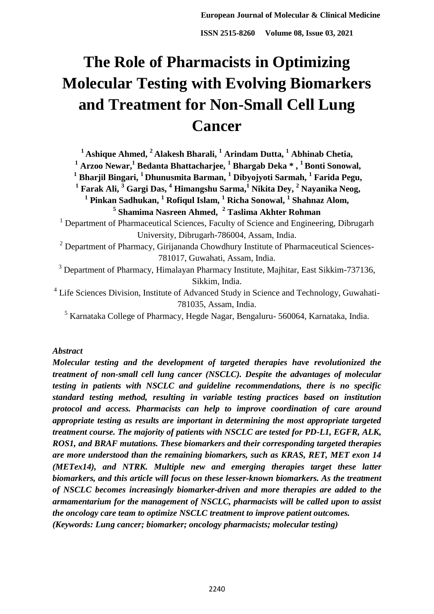# **The Role of Pharmacists in Optimizing Molecular Testing with Evolving Biomarkers and Treatment for Non-Small Cell Lung Cancer**

**<sup>1</sup>Ashique Ahmed, <sup>2</sup>Alakesh Bharali, <sup>1</sup> Arindam Dutta, <sup>1</sup> Abhinab Chetia,**

**<sup>1</sup> Arzoo Newar,<sup>1</sup> Bedanta Bhattacharjee, <sup>1</sup> Bhargab Deka \* , <sup>1</sup>Bonti Sonowal,**

**<sup>1</sup> Bharjil Bingari, <sup>1</sup>Dhunusmita Barman, <sup>1</sup> Dibyojyoti Sarmah, <sup>1</sup> Farida Pegu,**

**1 Farak Ali, <sup>3</sup> Gargi Das, <sup>4</sup> Himangshu Sarma,<sup>1</sup> Nikita Dey, <sup>2</sup> Nayanika Neog,** 

**1 Pinkan Sadhukan, <sup>1</sup> Rofiqul Islam, <sup>1</sup> Richa Sonowal, <sup>1</sup> Shahnaz Alom, 5 Shamima Nasreen Ahmed, <sup>2</sup> Taslima Akhter Rohman**

<sup>1</sup> Department of Pharmaceutical Sciences, Faculty of Science and Engineering, Dibrugarh University, Dibrugarh-786004, Assam, India.

<sup>2</sup> Department of Pharmacy, Girijananda Chowdhury Institute of Pharmaceutical Sciences-781017, Guwahati, Assam, India.

<sup>3</sup> Department of Pharmacy, Himalayan Pharmacy Institute, Majhitar, East Sikkim-737136, Sikkim, India.

<sup>4</sup> Life Sciences Division, Institute of Advanced Study in Science and Technology, Guwahati-781035, Assam, India.

<sup>5</sup> Karnataka College of Pharmacy, Hegde Nagar, Bengaluru- 560064, Karnataka, India.

## *Abstract*

*Molecular testing and the development of targeted therapies have revolutionized the treatment of non-small cell lung cancer (NSCLC). Despite the advantages of molecular testing in patients with NSCLC and guideline recommendations, there is no specific standard testing method, resulting in variable testing practices based on institution protocol and access. Pharmacists can help to improve coordination of care around appropriate testing as results are important in determining the most appropriate targeted treatment course. The majority of patients with NSCLC are tested for PD-L1, EGFR, ALK, ROS1, and BRAF mutations. These biomarkers and their corresponding targeted therapies are more understood than the remaining biomarkers, such as KRAS, RET, MET exon 14 (METex14), and NTRK. Multiple new and emerging therapies target these latter biomarkers, and this article will focus on these lesser-known biomarkers. As the treatment of NSCLC becomes increasingly biomarker-driven and more therapies are added to the armamentarium for the management of NSCLC, pharmacists will be called upon to assist the oncology care team to optimize NSCLC treatment to improve patient outcomes. (Keywords: Lung cancer; biomarker; oncology pharmacists; molecular testing)*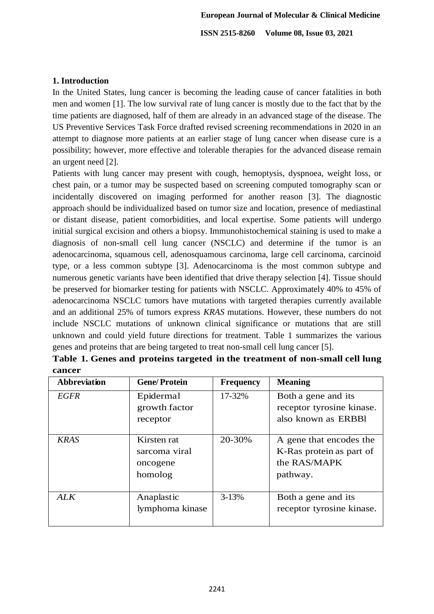# **1. Introduction**

In the United States, lung cancer is becoming the leading cause of cancer fatalities in both men and women [1]. The low survival rate of lung cancer is mostly due to the fact that by the time patients are diagnosed, half of them are already in an advanced stage of the disease. The US Preventive Services Task Force drafted revised screening recommendations in 2020 in an attempt to diagnose more patients at an earlier stage of lung cancer when disease cure is a possibility; however, more effective and tolerable therapies for the advanced disease remain an urgent need [2].

Patients with lung cancer may present with cough, hemoptysis, dyspnoea, weight loss, or chest pain, or a tumor may be suspected based on screening computed tomography scan or incidentally discovered on imaging performed for another reason [3]. The diagnostic approach should be individualized based on tumor size and location, presence of mediastinal or distant disease, patient comorbidities, and local expertise. Some patients will undergo initial surgical excision and others a biopsy. Immunohistochemical staining is used to make a diagnosis of non-small cell lung cancer (NSCLC) and determine if the tumor is an adenocarcinoma, squamous cell, adenosquamous carcinoma, large cell carcinoma, carcinoid type, or a less common subtype [3]. Adenocarcinoma is the most common subtype and numerous genetic variants have been identified that drive therapy selection [4]. Tissue should be preserved for biomarker testing for patients with NSCLC. Approximately 40% to 45% of adenocarcinoma NSCLC tumors have mutations with targeted therapies currently available and an additional 25% of tumors express *KRAS* mutations. However, these numbers do not include NSCLC mutations of unknown clinical significance or mutations that are still unknown and could yield future directions for treatment. Table 1 summarizes the various genes and proteins that are being targeted to treat non-small cell lung cancer [5].

| <b>Abbreviation</b> | <b>Gene/Protein</b>                                 | <b>Frequency</b> | <b>Meaning</b>                                                                  |
|---------------------|-----------------------------------------------------|------------------|---------------------------------------------------------------------------------|
| <b>EGFR</b>         | Epidermal<br>growth factor                          | 17-32%           | Both a gene and its<br>receptor tyrosine kinase.                                |
|                     | receptor                                            |                  | also known as ERBBI                                                             |
| <b>KRAS</b>         | Kirsten rat<br>sarcoma viral<br>oncogene<br>homolog | 20-30%           | A gene that encodes the<br>K-Ras protein as part of<br>the RAS/MAPK<br>pathway. |
| <b>ALK</b>          | Anaplastic<br>lymphoma kinase                       | $3 - 13%$        | Both a gene and its<br>receptor tyrosine kinase.                                |

| Table 1. Genes and proteins targeted in the treatment of non-small cell lung |  |  |  |  |
|------------------------------------------------------------------------------|--|--|--|--|
| cancer                                                                       |  |  |  |  |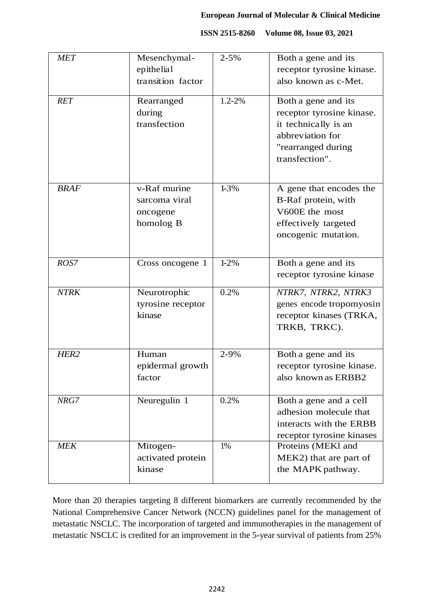|  | ISSN 2515-8260 Volume 08, Issue 03, 2021 |
|--|------------------------------------------|
|--|------------------------------------------|

| <b>MET</b>       | Mesenchymal-<br>epithelial<br>transition factor        | $2 - 5%$ | Both a gene and its<br>receptor tyrosine kinase.<br>also known as c-Met.                                                             |
|------------------|--------------------------------------------------------|----------|--------------------------------------------------------------------------------------------------------------------------------------|
| <b>RET</b>       | Rearranged<br>during<br>transfection                   | 1.2-2%   | Both a gene and its<br>receptor tyrosine kinase.<br>it technically is an<br>abbreviation for<br>"rearranged during<br>transfection". |
| <b>BRAF</b>      | v-Raf murine<br>sarcoma viral<br>oncogene<br>homolog B | $1 - 3%$ | A gene that encodes the<br>B-Raf protein, with<br>V600E the most<br>effectively targeted<br>oncogenic mutation.                      |
| ROS7             | Cross oncogene 1                                       | $1 - 2%$ | Both a gene and its<br>receptor tyrosine kinase                                                                                      |
| <b>NTRK</b>      | Neurotrophic<br>tyrosine receptor<br>kinase            | 0.2%     | NTRK7, NTRK2, NTRK3<br>genes encode tropomyosin<br>receptor kinases (TRKA,<br>TRKB, TRKC).                                           |
| HER <sub>2</sub> | Human<br>epidermal growth<br>factor                    | 2-9%     | Both a gene and its<br>receptor tyrosine kinase.<br>also known as ERBB2                                                              |
| NRG7             | Neuregulin 1                                           | 0.2%     | Both a gene and a cell<br>adhesion molecule that<br>interacts with the ERBB<br>receptor tyrosine kinases                             |
| <b>MEK</b>       | Mitogen-<br>activated protein<br>kinase                | 1%       | Proteins (MEKI and<br>MEK2) that are part of<br>the MAPK pathway.                                                                    |

More than 20 therapies targeting 8 different biomarkers are currently recommended by the National Comprehensive Cancer Network (NCCN) guidelines panel for the management of metastatic NSCLC. The incorporation of targeted and immunotherapies in the management of metastatic NSCLC is credited for an improvement in the 5-year survival of patients from 25%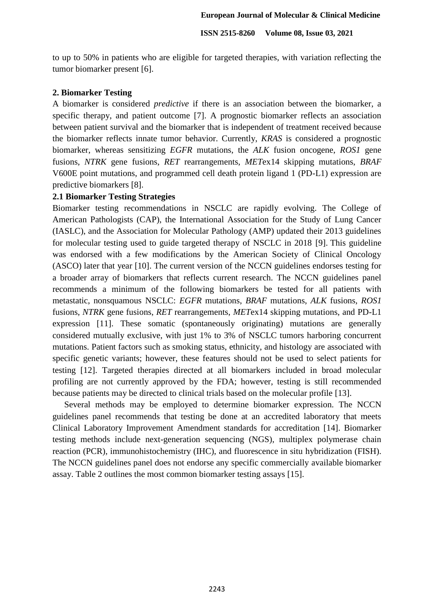to up to 50% in patients who are eligible for targeted therapies, with variation reflecting the tumor biomarker present [6].

#### **2. Biomarker Testing**

A biomarker is considered *predictive* if there is an association between the biomarker, a specific therapy, and patient outcome [7]. A prognostic biomarker reflects an association between patient survival and the biomarker that is independent of treatment received because the biomarker reflects innate tumor behavior. Currently, *KRAS* is considered a prognostic biomarker, whereas sensitizing *EGFR* mutations, the *ALK* fusion oncogene, *ROS1* gene fusions, *NTRK* gene fusions, *RET* rearrangements, *MET*ex14 skipping mutations, *BRAF* V600E point mutations, and programmed cell death protein ligand 1 (PD-L1) expression are predictive biomarkers [8].

## **2.1 Biomarker Testing Strategies**

Biomarker testing recommendations in NSCLC are rapidly evolving. The College of American Pathologists (CAP), the International Association for the Study of Lung Cancer (IASLC), and the Association for Molecular Pathology (AMP) updated their 2013 guidelines for molecular testing used to guide targeted therapy of NSCLC in 2018 [9]. This guideline was endorsed with a few modifications by the American Society of Clinical Oncology (ASCO) later that year [10]. The current version of the NCCN guidelines endorses testing for a broader array of biomarkers that reflects current research. The NCCN guidelines panel recommends a minimum of the following biomarkers be tested for all patients with metastatic, nonsquamous NSCLC: *EGFR* mutations, *BRAF* mutations, *ALK* fusions, *ROS1* fusions, *NTRK* gene fusions, *RET* rearrangements, *MET*ex14 skipping mutations, and PD-L1 expression [11]. These somatic (spontaneously originating) mutations are generally considered mutually exclusive, with just 1% to 3% of NSCLC tumors harboring concurrent mutations. Patient factors such as smoking status, ethnicity, and histology are associated with specific genetic variants; however, these features should not be used to select patients for testing [12]. Targeted therapies directed at all biomarkers included in broad molecular profiling are not currently approved by the FDA; however, testing is still recommended because patients may be directed to clinical trials based on the molecular profile [13].

 Several methods may be employed to determine biomarker expression. The NCCN guidelines panel recommends that testing be done at an accredited laboratory that meets Clinical Laboratory Improvement Amendment standards for accreditation [14]. Biomarker testing methods include next-generation sequencing (NGS), multiplex polymerase chain reaction (PCR), immunohistochemistry (IHC), and fluorescence in situ hybridization (FISH). The NCCN guidelines panel does not endorse any specific commercially available biomarker assay. Table 2 outlines the most common biomarker testing assays [15].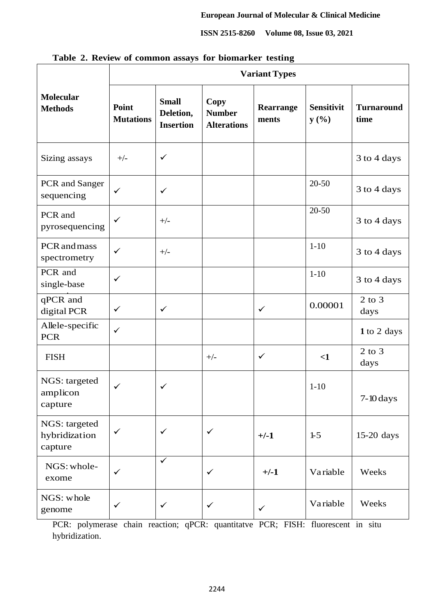|                                           | <b>Variant Types</b>      |                                               |                                                    |                    |                           |                           |  |  |
|-------------------------------------------|---------------------------|-----------------------------------------------|----------------------------------------------------|--------------------|---------------------------|---------------------------|--|--|
| <b>Molecular</b><br><b>Methods</b>        | Point<br><b>Mutations</b> | <b>Small</b><br>Deletion,<br><b>Insertion</b> | <b>Copy</b><br><b>Number</b><br><b>Alterations</b> | Rearrange<br>ments | <b>Sensitivit</b><br>y(%) | <b>Turnaround</b><br>time |  |  |
| Sizing assays                             | $+/-$                     | $\checkmark$                                  |                                                    |                    |                           | 3 to 4 days               |  |  |
| PCR and Sanger<br>sequencing              | $\checkmark$              | $\checkmark$                                  |                                                    |                    | $20 - 50$                 | 3 to 4 days               |  |  |
| PCR and<br>pyrosequencing                 | $\checkmark$              | $+/-$                                         |                                                    |                    | $20 - 50$                 | 3 to 4 days               |  |  |
| PCR and mass<br>spectrometry              | $\checkmark$              | $+/-$                                         |                                                    |                    | $1 - 10$                  | 3 to 4 days               |  |  |
| PCR and<br>single-base                    | $\checkmark$              |                                               |                                                    |                    | $1 - 10$                  | 3 to 4 days               |  |  |
| qPCR and<br>digital PCR                   | $\checkmark$              | $\checkmark$                                  |                                                    | $\checkmark$       | 0.00001                   | $2$ to $3$<br>days        |  |  |
| Allele-specific<br><b>PCR</b>             | $\checkmark$              |                                               |                                                    |                    |                           | 1 to 2 days               |  |  |
| <b>FISH</b>                               |                           |                                               | $+/-$                                              | $\checkmark$       | $\leq$ 1                  | $2$ to $3$<br>days        |  |  |
| NGS: targeted<br>amplicon<br>capture      | $\checkmark$              | $\checkmark$                                  |                                                    |                    | $1-10$                    | $7-10 \, days$            |  |  |
| NGS: targeted<br>hybridization<br>capture | $\checkmark$              | $\checkmark$                                  | $\checkmark$                                       | $+/-1$             | $1-5$                     | 15-20 days                |  |  |
| NGS: whole-<br>exome                      | $\checkmark$              | $\checkmark$                                  | $\checkmark$                                       | $+/-1$             | Variable                  | Weeks                     |  |  |
| NGS: whole<br>genome                      | $\checkmark$              | $\checkmark$                                  | $\checkmark$                                       | $\checkmark$       | Variable                  | Weeks                     |  |  |

**Table 2. Review of common assays for biomarker testing**

PCR: polymerase chain reaction; qPCR: quantitatve PCR; FISH: fluorescent in situ hybridization.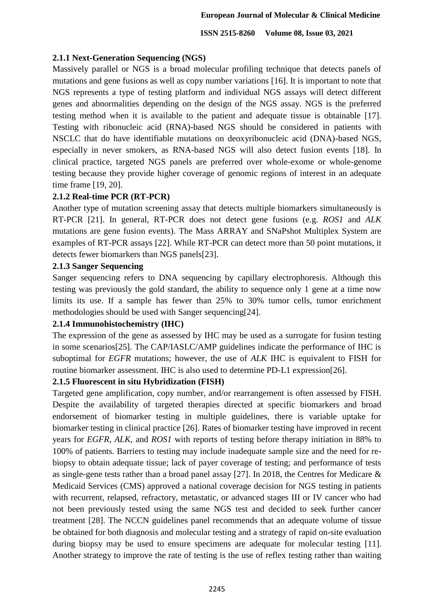# **2.1.1 Next-Generation Sequencing (NGS)**

Massively parallel or NGS is a broad molecular profiling technique that detects panels of mutations and gene fusions as well as copy number variations [16]. It is important to note that NGS represents a type of testing platform and individual NGS assays will detect different genes and abnormalities depending on the design of the NGS assay. NGS is the preferred testing method when it is available to the patient and adequate tissue is obtainable [17]. Testing with ribonucleic acid (RNA)-based NGS should be considered in patients with NSCLC that do have identifiable mutations on deoxyribonucleic acid (DNA)-based NGS, especially in never smokers, as RNA-based NGS will also detect fusion events [18]. In clinical practice, targeted NGS panels are preferred over whole-exome or whole-genome testing because they provide higher coverage of genomic regions of interest in an adequate time frame [19, 20].

# **2.1.2 Real-time PCR (RT-PCR)**

Another type of mutation screening assay that detects multiple biomarkers simultaneously is RT-PCR [21]. In general, RT-PCR does not detect gene fusions (e.g. *ROS1* and *ALK* mutations are gene fusion events). The Mass ARRAY and SNaPshot Multiplex System are examples of RT-PCR assays [22]. While RT-PCR can detect more than 50 point mutations, it detects fewer biomarkers than NGS panels[23].

# **2.1.3 Sanger Sequencing**

Sanger sequencing refers to DNA sequencing by capillary electrophoresis. Although this testing was previously the gold standard, the ability to sequence only 1 gene at a time now limits its use. If a sample has fewer than 25% to 30% tumor cells, tumor enrichment methodologies should be used with Sanger sequencing[24].

# **2.1.4 Immunohistochemistry (IHC)**

The expression of the gene as assessed by IHC may be used as a surrogate for fusion testing in some scenarios[25]. The CAP/IASLC/AMP guidelines indicate the performance of IHC is suboptimal for *EGFR* mutations; however, the use of *ALK* IHC is equivalent to FISH for routine biomarker assessment. IHC is also used to determine PD-L1 expression[26].

# **2.1.5 Fluorescent in situ Hybridization (FISH)**

Targeted gene amplification, copy number, and/or rearrangement is often assessed by FISH. Despite the availability of targeted therapies directed at specific biomarkers and broad endorsement of biomarker testing in multiple guidelines, there is variable uptake for biomarker testing in clinical practice [26]. Rates of biomarker testing have improved in recent years for *EGFR, ALK,* and *ROS1* with reports of testing before therapy initiation in 88% to 100% of patients. Barriers to testing may include inadequate sample size and the need for rebiopsy to obtain adequate tissue; lack of payer coverage of testing; and performance of tests as single-gene tests rather than a broad panel assay [27]. In 2018, the Centres for Medicare & Medicaid Services (CMS) approved a national coverage decision for NGS testing in patients with recurrent, relapsed, refractory, metastatic, or advanced stages III or IV cancer who had not been previously tested using the same NGS test and decided to seek further cancer treatment [28]. The NCCN guidelines panel recommends that an adequate volume of tissue be obtained for both diagnosis and molecular testing and a strategy of rapid on-site evaluation during biopsy may be used to ensure specimens are adequate for molecular testing [11]. Another strategy to improve the rate of testing is the use of reflex testing rather than waiting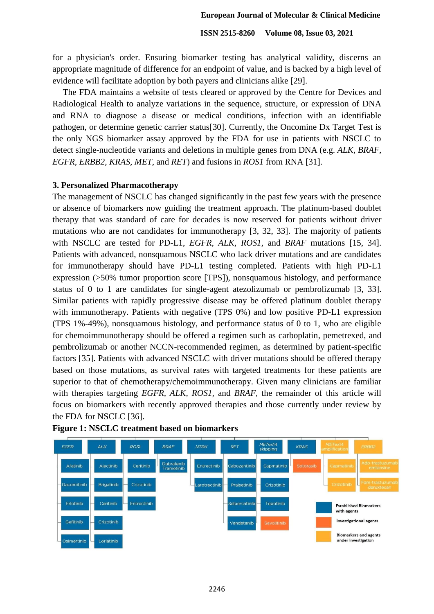for a physician's order. Ensuring biomarker testing has analytical validity, discerns an appropriate magnitude of difference for an endpoint of value, and is backed by a high level of evidence will facilitate adoption by both payers and clinicians alike [29].

 The FDA maintains a website of tests cleared or approved by the Centre for Devices and Radiological Health to analyze variations in the sequence, structure, or expression of DNA and RNA to diagnose a disease or medical conditions, infection with an identifiable pathogen, or determine genetic carrier status[30]. Currently, the Oncomine Dx Target Test is the only NGS biomarker assay approved by the FDA for use in patients with NSCLC to detect single-nucleotide variants and deletions in multiple genes from DNA (e.g. *ALK, BRAF, EGFR, ERBB2, KRAS, MET*, and *RET*) and fusions in *ROS1* from RNA [31].

#### **3. Personalized Pharmacotherapy**

The management of NSCLC has changed significantly in the past few years with the presence or absence of biomarkers now guiding the treatment approach. The platinum-based doublet therapy that was standard of care for decades is now reserved for patients without driver mutations who are not candidates for immunotherapy [3, 32, 33]. The majority of patients with NSCLC are tested for PD-L1, *EGFR, ALK, ROS1,* and *BRAF* mutations [15, 34]. Patients with advanced, nonsquamous NSCLC who lack driver mutations and are candidates for immunotherapy should have PD-L1 testing completed. Patients with high PD-L1 expression (>50% tumor proportion score [TPS]), nonsquamous histology, and performance status of 0 to 1 are candidates for single-agent atezolizumab or pembrolizumab [3, 33]. Similar patients with rapidly progressive disease may be offered platinum doublet therapy with immunotherapy. Patients with negative (TPS 0%) and low positive PD-L1 expression (TPS 1%-49%), nonsquamous histology, and performance status of 0 to 1, who are eligible for chemoimmunotherapy should be offered a regimen such as carboplatin, pemetrexed, and pembrolizumab or another NCCN-recommended regimen, as determined by patient-specific factors [35]. Patients with advanced NSCLC with driver mutations should be offered therapy based on those mutations, as survival rates with targeted treatments for these patients are superior to that of chemotherapy/chemoimmunotherapy. Given many clinicians are familiar with therapies targeting *EGFR, ALK, ROS1,* and *BRAF,* the remainder of this article will focus on biomarkers with recently approved therapies and those currently under review by the FDA for NSCLC [36].



# **Figure 1: NSCLC treatment based on biomarkers**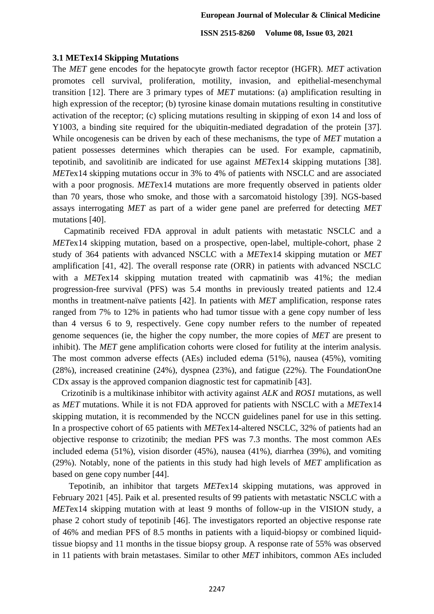#### **3.1 METex14 Skipping Mutations**

The *MET* gene encodes for the hepatocyte growth factor receptor (HGFR). *MET* activation promotes cell survival, proliferation, motility, invasion, and epithelial-mesenchymal transition [12]. There are 3 primary types of *MET* mutations: (a) amplification resulting in high expression of the receptor; (b) tyrosine kinase domain mutations resulting in constitutive activation of the receptor; (c) splicing mutations resulting in skipping of exon 14 and loss of Y1003, a binding site required for the ubiquitin-mediated degradation of the protein [37]. While oncogenesis can be driven by each of these mechanisms, the type of *MET* mutation a patient possesses determines which therapies can be used. For example, capmatinib, tepotinib, and savolitinib are indicated for use against *MET*ex14 skipping mutations [38]. *MET*ex14 skipping mutations occur in 3% to 4% of patients with NSCLC and are associated with a poor prognosis. *MET*ex14 mutations are more frequently observed in patients older than 70 years, those who smoke, and those with a sarcomatoid histology [39]. NGS-based assays interrogating *MET* as part of a wider gene panel are preferred for detecting *MET* mutations [40].

 Capmatinib received FDA approval in adult patients with metastatic NSCLC and a *MET*ex14 skipping mutation, based on a prospective, open-label, multiple-cohort, phase 2 study of 364 patients with advanced NSCLC with a *MET*ex14 skipping mutation or *MET* amplification [41, 42]. The overall response rate (ORR) in patients with advanced NSCLC with a *MET*ex14 skipping mutation treated with capmatinib was 41%; the median progression-free survival (PFS) was 5.4 months in previously treated patients and 12.4 months in treatment-naïve patients [42]. In patients with *MET* amplification, response rates ranged from 7% to 12% in patients who had tumor tissue with a gene copy number of less than 4 versus 6 to 9, respectively. Gene copy number refers to the number of repeated genome sequences (ie, the higher the copy number, the more copies of *MET* are present to inhibit). The *MET* gene amplification cohorts were closed for futility at the interim analysis. The most common adverse effects (AEs) included edema (51%), nausea (45%), vomiting (28%), increased creatinine (24%), dyspnea (23%), and fatigue (22%). The FoundationOne CDx assay is the approved companion diagnostic test for capmatinib [43].

 Crizotinib is a multikinase inhibitor with activity against *ALK* and *ROS1* mutations, as well as *MET* mutations. While it is not FDA approved for patients with NSCLC with a *MET*ex14 skipping mutation, it is recommended by the NCCN guidelines panel for use in this setting. In a prospective cohort of 65 patients with *MET*ex14-altered NSCLC, 32% of patients had an objective response to crizotinib; the median PFS was 7.3 months. The most common AEs included edema (51%), vision disorder (45%), nausea (41%), diarrhea (39%), and vomiting (29%). Notably, none of the patients in this study had high levels of *MET* amplification as based on gene copy number [44].

 Tepotinib, an inhibitor that targets *MET*ex14 skipping mutations, was approved in February 2021 [45]. Paik et al. presented results of 99 patients with metastatic NSCLC with a *MET*ex14 skipping mutation with at least 9 months of follow-up in the VISION study, a phase 2 cohort study of tepotinib [46]. The investigators reported an objective response rate of 46% and median PFS of 8.5 months in patients with a liquid-biopsy or combined liquidtissue biopsy and 11 months in the tissue biopsy group. A response rate of 55% was observed in 11 patients with brain metastases. Similar to other *MET* inhibitors, common AEs included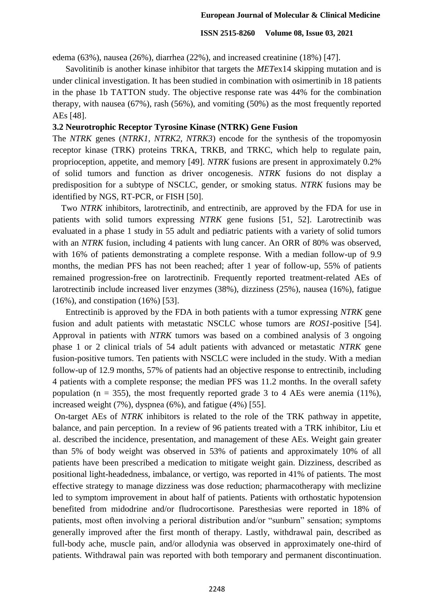edema (63%), nausea (26%), diarrhea (22%), and increased creatinine (18%) [47].

 Savolitinib is another kinase inhibitor that targets the *MET*ex14 skipping mutation and is under clinical investigation. It has been studied in combination with osimertinib in 18 patients in the phase 1b TATTON study. The objective response rate was 44% for the combination therapy, with nausea (67%), rash (56%), and vomiting (50%) as the most frequently reported AEs [48].

## **3.2 Neurotrophic Receptor Tyrosine Kinase (NTRK) Gene Fusion**

The *NTRK* genes (*NTRK1, NTRK2, NTRK3*) encode for the synthesis of the tropomyosin receptor kinase (TRK) proteins TRKA, TRKB, and TRKC, which help to regulate pain, proprioception, appetite, and memory [49]. *NTRK* fusions are present in approximately 0.2% of solid tumors and function as driver oncogenesis. *NTRK* fusions do not display a predisposition for a subtype of NSCLC, gender, or smoking status. *NTRK* fusions may be identified by NGS, RT-PCR, or FISH [50].

 Two *NTRK* inhibitors, larotrectinib, and entrectinib, are approved by the FDA for use in patients with solid tumors expressing *NTRK* gene fusions [51, 52]. Larotrectinib was evaluated in a phase 1 study in 55 adult and pediatric patients with a variety of solid tumors with an *NTRK* fusion, including 4 patients with lung cancer. An ORR of 80% was observed, with 16% of patients demonstrating a complete response. With a median follow-up of 9.9 months, the median PFS has not been reached; after 1 year of follow-up, 55% of patients remained progression-free on larotrectinib. Frequently reported treatment-related AEs of larotrectinib include increased liver enzymes (38%), dizziness (25%), nausea (16%), fatigue (16%), and constipation (16%) [53].

 Entrectinib is approved by the FDA in both patients with a tumor expressing *NTRK* gene fusion and adult patients with metastatic NSCLC whose tumors are *ROS1*-positive [54]. Approval in patients with *NTRK* tumors was based on a combined analysis of 3 ongoing phase 1 or 2 clinical trials of 54 adult patients with advanced or metastatic *NTRK* gene fusion-positive tumors. Ten patients with NSCLC were included in the study. With a median follow-up of 12.9 months, 57% of patients had an objective response to entrectinib, including 4 patients with a complete response; the median PFS was 11.2 months. In the overall safety population ( $n = 355$ ), the most frequently reported grade 3 to 4 AEs were anemia (11%), increased weight (7%), dyspnea (6%), and fatigue (4%) [55].

On-target AEs of *NTRK* inhibitors is related to the role of the TRK pathway in appetite, balance, and pain perception. In a review of 96 patients treated with a TRK inhibitor, Liu et al. described the incidence, presentation, and management of these AEs. Weight gain greater than 5% of body weight was observed in 53% of patients and approximately 10% of all patients have been prescribed a medication to mitigate weight gain. Dizziness, described as positional light-headedness, imbalance, or vertigo, was reported in 41% of patients. The most effective strategy to manage dizziness was dose reduction; pharmacotherapy with meclizine led to symptom improvement in about half of patients. Patients with orthostatic hypotension benefited from midodrine and/or fludrocortisone. Paresthesias were reported in 18% of patients, most often involving a perioral distribution and/or "sunburn" sensation; symptoms generally improved after the first month of therapy. Lastly, withdrawal pain, described as full-body ache, muscle pain, and/or allodynia was observed in approximately one-third of patients. Withdrawal pain was reported with both temporary and permanent discontinuation.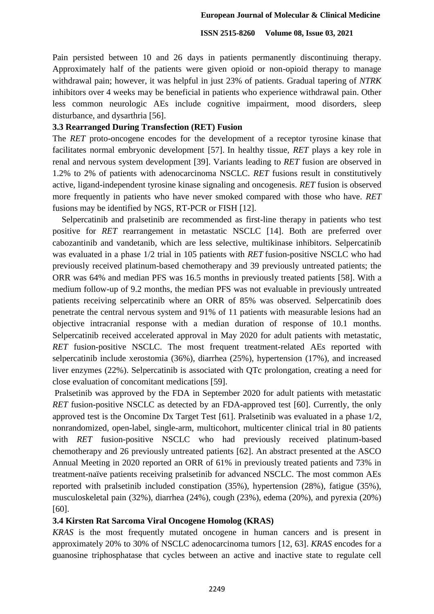Pain persisted between 10 and 26 days in patients permanently discontinuing therapy. Approximately half of the patients were given opioid or non-opioid therapy to manage withdrawal pain; however, it was helpful in just 23% of patients. Gradual tapering of *NTRK*  inhibitors over 4 weeks may be beneficial in patients who experience withdrawal pain. Other less common neurologic AEs include cognitive impairment, mood disorders, sleep disturbance, and dysarthria [56].

## **3.3 Rearranged During Transfection (RET) Fusion**

The *RET* proto-oncogene encodes for the development of a receptor tyrosine kinase that facilitates normal embryonic development [57]. In healthy tissue, *RET* plays a key role in renal and nervous system development [39]. Variants leading to *RET* fusion are observed in 1.2% to 2% of patients with adenocarcinoma NSCLC. *RET* fusions result in constitutively active, ligand-independent tyrosine kinase signaling and oncogenesis. *RET* fusion is observed more frequently in patients who have never smoked compared with those who have. *RET* fusions may be identified by NGS, RT-PCR or FISH [12].

 Selpercatinib and pralsetinib are recommended as first-line therapy in patients who test positive for *RET* rearrangement in metastatic NSCLC [14]. Both are preferred over cabozantinib and vandetanib, which are less selective, multikinase inhibitors. Selpercatinib was evaluated in a phase 1/2 trial in 105 patients with *RET* fusion-positive NSCLC who had previously received platinum-based chemotherapy and 39 previously untreated patients; the ORR was 64% and median PFS was 16.5 months in previously treated patients [58]. With a medium follow-up of 9.2 months, the median PFS was not evaluable in previously untreated patients receiving selpercatinib where an ORR of 85% was observed. Selpercatinib does penetrate the central nervous system and 91% of 11 patients with measurable lesions had an objective intracranial response with a median duration of response of 10.1 months. Selpercatinib received accelerated approval in May 2020 for adult patients with metastatic, *RET* fusion-positive NSCLC. The most frequent treatment-related AEs reported with selpercatinib include xerostomia (36%), diarrhea (25%), hypertension (17%), and increased liver enzymes (22%). Selpercatinib is associated with QTc prolongation, creating a need for close evaluation of concomitant medications [59].

Pralsetinib was approved by the FDA in September 2020 for adult patients with metastatic *RET* fusion-positive NSCLC as detected by an FDA-approved test [60]. Currently, the only approved test is the Oncomine Dx Target Test [61]. Pralsetinib was evaluated in a phase 1/2, nonrandomized, open-label, single-arm, multicohort, multicenter clinical trial in 80 patients with *RET* fusion-positive NSCLC who had previously received platinum-based chemotherapy and 26 previously untreated patients [62]. An abstract presented at the ASCO Annual Meeting in 2020 reported an ORR of 61% in previously treated patients and 73% in treatment-naïve patients receiving pralsetinib for advanced NSCLC. The most common AEs reported with pralsetinib included constipation (35%), hypertension (28%), fatigue (35%), musculoskeletal pain (32%), diarrhea (24%), cough (23%), edema (20%), and pyrexia (20%) [60].

## **3.4 Kirsten Rat Sarcoma Viral Oncogene Homolog (KRAS)**

*KRAS* is the most frequently mutated oncogene in human cancers and is present in approximately 20% to 30% of NSCLC adenocarcinoma tumors [12, 63]. *KRAS* encodes for a guanosine triphosphatase that cycles between an active and inactive state to regulate cell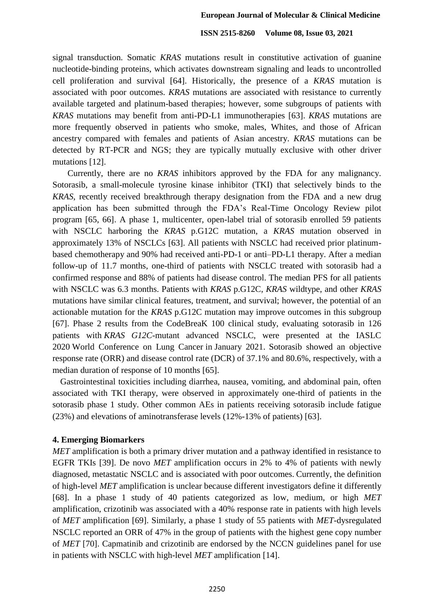signal transduction. Somatic *KRAS* mutations result in constitutive activation of guanine nucleotide-binding proteins, which activates downstream signaling and leads to uncontrolled cell proliferation and survival [64]. Historically, the presence of a *KRAS* mutation is associated with poor outcomes. *KRAS* mutations are associated with resistance to currently available targeted and platinum-based therapies; however, some subgroups of patients with *KRAS* mutations may benefit from anti-PD-L1 immunotherapies [63]. *KRAS* mutations are more frequently observed in patients who smoke, males, Whites, and those of African ancestry compared with females and patients of Asian ancestry. *KRAS* mutations can be detected by RT-PCR and NGS; they are typically mutually exclusive with other driver mutations [12].

 Currently, there are no *KRAS* inhibitors approved by the FDA for any malignancy. Sotorasib, a small-molecule tyrosine kinase inhibitor (TKI) that selectively binds to the *KRAS*, recently received breakthrough therapy designation from the FDA and a new drug application has been submitted through the FDA's Real-Time Oncology Review pilot program [65, 66]. A phase 1, multicenter, open-label trial of sotorasib enrolled 59 patients with NSCLC harboring the *KRAS* p.G12C mutation, a *KRAS* mutation observed in approximately 13% of NSCLCs [63]. All patients with NSCLC had received prior platinumbased chemotherapy and 90% had received anti-PD-1 or anti–PD-L1 therapy. After a median follow-up of 11.7 months, one-third of patients with NSCLC treated with sotorasib had a confirmed response and 88% of patients had disease control. The median PFS for all patients with NSCLC was 6.3 months. Patients with *KRAS* p.G12C, *KRAS* wildtype, and other *KRAS*  mutations have similar clinical features, treatment, and survival; however, the potential of an actionable mutation for the *KRAS* p.G12C mutation may improve outcomes in this subgroup [67]. Phase 2 results from the CodeBreaK 100 clinical study, evaluating sotorasib in 126 patients with *KRAS G12C*-mutant advanced NSCLC, were presented at the IASLC 2020 World Conference on Lung Cancer in January 2021. Sotorasib showed an objective response rate (ORR) and disease control rate (DCR) of 37.1% and 80.6%, respectively, with a median duration of response of 10 months [65].

 Gastrointestinal toxicities including diarrhea, nausea, vomiting, and abdominal pain, often associated with TKI therapy, were observed in approximately one-third of patients in the sotorasib phase 1 study. Other common AEs in patients receiving sotorasib include fatigue (23%) and elevations of aminotransferase levels (12%-13% of patients) [63].

#### **4. Emerging Biomarkers**

*MET* amplification is both a primary driver mutation and a pathway identified in resistance to EGFR TKIs [39]. De novo *MET* amplification occurs in 2% to 4% of patients with newly diagnosed, metastatic NSCLC and is associated with poor outcomes. Currently, the definition of high-level *MET* amplification is unclear because different investigators define it differently [68]. In a phase 1 study of 40 patients categorized as low, medium, or high *MET* amplification, crizotinib was associated with a 40% response rate in patients with high levels of *MET* amplification [69]. Similarly, a phase 1 study of 55 patients with *MET-*dysregulated NSCLC reported an ORR of 47% in the group of patients with the highest gene copy number of *MET* [70]. Capmatinib and crizotinib are endorsed by the NCCN guidelines panel for use in patients with NSCLC with high-level *MET* amplification [14].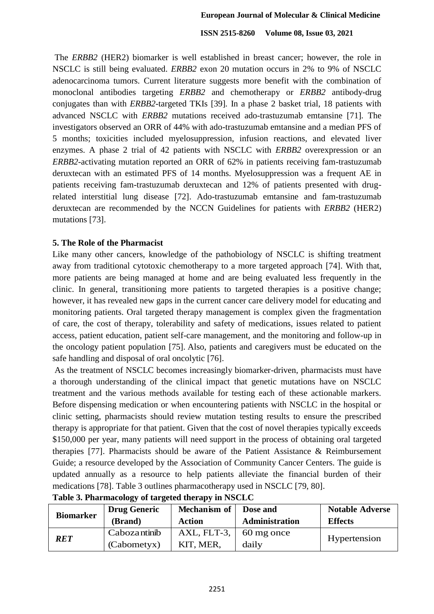The *ERBB2* (HER2) biomarker is well established in breast cancer; however, the role in NSCLC is still being evaluated. *ERBB2* exon 20 mutation occurs in 2% to 9% of NSCLC adenocarcinoma tumors. Current literature suggests more benefit with the combination of monoclonal antibodies targeting *ERBB2* and chemotherapy or *ERBB2* antibody-drug conjugates than with *ERBB2*-targeted TKIs [39]*.* In a phase 2 basket trial, 18 patients with advanced NSCLC with *ERBB2* mutations received ado-trastuzumab emtansine [71]*.* The investigators observed an ORR of 44% with ado-trastuzumab emtansine and a median PFS of 5 months; toxicities included myelosuppression, infusion reactions, and elevated liver enzymes. A phase 2 trial of 42 patients with NSCLC with *ERBB2* overexpression or an *ERBB2*-activating mutation reported an ORR of 62% in patients receiving fam-trastuzumab deruxtecan with an estimated PFS of 14 months. Myelosuppression was a frequent AE in patients receiving fam-trastuzumab deruxtecan and 12% of patients presented with drugrelated interstitial lung disease [72]. Ado-trastuzumab emtansine and fam-trastuzumab deruxtecan are recommended by the NCCN Guidelines for patients with *ERBB2* (HER2) mutations [73].

# **5. The Role of the Pharmacist**

Like many other cancers, knowledge of the pathobiology of NSCLC is shifting treatment away from traditional cytotoxic chemotherapy to a more targeted approach [74]. With that, more patients are being managed at home and are being evaluated less frequently in the clinic. In general, transitioning more patients to targeted therapies is a positive change; however, it has revealed new gaps in the current cancer care delivery model for educating and monitoring patients. Oral targeted therapy management is complex given the fragmentation of care, the cost of therapy, tolerability and safety of medications, issues related to patient access, patient education, patient self-care management, and the monitoring and follow-up in the oncology patient population [75]. Also, patients and caregivers must be educated on the safe handling and disposal of oral oncolytic [76].

As the treatment of NSCLC becomes increasingly biomarker-driven, pharmacists must have a thorough understanding of the clinical impact that genetic mutations have on NSCLC treatment and the various methods available for testing each of these actionable markers. Before dispensing medication or when encountering patients with NSCLC in the hospital or clinic setting, pharmacists should review mutation testing results to ensure the prescribed therapy is appropriate for that patient. Given that the cost of novel therapies typically exceeds \$150,000 per year, many patients will need support in the process of obtaining oral targeted therapies [77]. Pharmacists should be aware of the Patient Assistance & Reimbursement Guide; a resource developed by the Association of Community Cancer Centers. The guide is updated annually as a resource to help patients alleviate the financial burden of their medications [78]. Table 3 outlines pharmacotherapy used in NSCLC [79, 80].

| <b>Biomarker</b> | <b>Drug Generic</b>         | Mechanism of             | Dose and              | <b>Notable Adverse</b> |
|------------------|-----------------------------|--------------------------|-----------------------|------------------------|
|                  | (Brand)                     | <b>Action</b>            | <b>Administration</b> | <b>Effects</b>         |
| RET              | Cabozantinib<br>(Cabometyx) | AXL, FLT-3,<br>KIT, MER, | 60 mg once<br>daily   | Hypertension           |

| Table 3. Pharmacology of targeted therapy in NSCLC |  |  |  |  |  |  |
|----------------------------------------------------|--|--|--|--|--|--|
|----------------------------------------------------|--|--|--|--|--|--|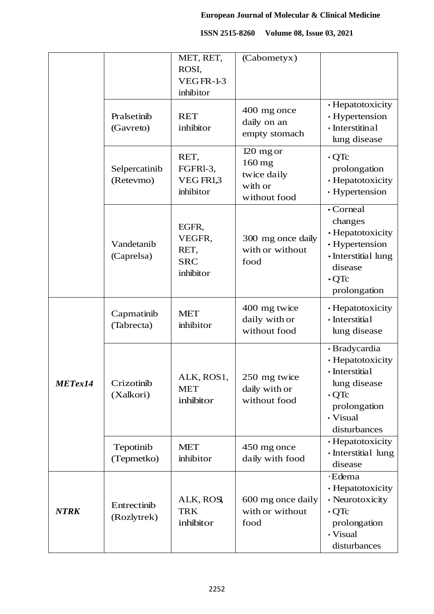|             |                            | MET, RET,<br>ROSI,<br><b>VEGFR-1-3</b><br>inhibitor | (Cabometyx)                                                   |                                                                                                                                |
|-------------|----------------------------|-----------------------------------------------------|---------------------------------------------------------------|--------------------------------------------------------------------------------------------------------------------------------|
|             | Pralsetinib<br>(Gavreto)   | <b>RET</b><br>inhibitor                             | 400 mg once<br>daily on an<br>empty stomach                   | · Hepatotoxicity<br>· Hypertension<br>· Interstitinal<br>lung disease                                                          |
|             | Selpercatinib<br>(Retevmo) | RET,<br>FGFRI-3,<br>VEG FR1,3<br>inhibitor          | 120 mg or<br>160 mg<br>twice daily<br>with or<br>without food | $\cdot$ QTc<br>prolongation<br>· Hepatotoxicity<br>· Hypertension                                                              |
|             | Vandetanib<br>(Caprelsa)   | EGFR,<br>VEGFR,<br>RET,<br><b>SRC</b><br>inhibitor  | 300 mg once daily<br>with or without<br>food                  | • Corneal<br>changes<br>• Hepatotoxicity<br>• Hypertension<br>· Interstitial lung<br>disease<br>$\cdot$ QTc<br>prolongation    |
|             | Capmatinib<br>(Tabrecta)   | <b>MET</b><br>inhibitor                             | 400 mg twice<br>daily with or<br>without food                 | · Hepatotoxicity<br>· Interstitial<br>lung disease                                                                             |
| METex14     | Crizotinib<br>(Xalkori)    | ALK, ROS1,<br><b>MET</b><br>inhibitor               | 250 mg twice<br>daily with or<br>without food                 | · Bradycardia<br>· Hepatotoxicity<br>· Interstitial<br>lung disease<br>$\cdot$ QTc<br>prolongation<br>• Visual<br>disturbances |
|             | Tepotinib<br>(Tepmetko)    | <b>MET</b><br>inhibitor                             | 450 mg once<br>daily with food                                | • Hepatotoxicity<br>· Interstitial lung<br>disease                                                                             |
| <b>NTRK</b> | Entrectinib<br>(Rozlytrek) | ALK, ROSI,<br><b>TRK</b><br>inhibitor               | 600 mg once daily<br>with or without<br>food                  | ·Edema<br>· Hepatotoxicity<br>• Neurotoxicity<br>$\cdot$ QTc<br>prolongation<br>· Visual<br>disturbances                       |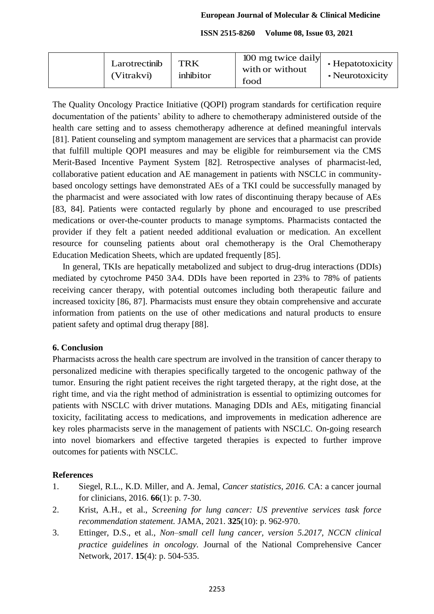|  | Larotrectinib<br>(Vitrakvi) | <b>TRK</b><br>inhibitor | 100 mg twice daily<br>with or without<br>food | • Hepatotoxicity<br>• Neurotoxicity |
|--|-----------------------------|-------------------------|-----------------------------------------------|-------------------------------------|
|--|-----------------------------|-------------------------|-----------------------------------------------|-------------------------------------|

The Quality Oncology Practice Initiative (QOPI) program standards for certification require documentation of the patients' ability to adhere to chemotherapy administered outside of the health care setting and to assess chemotherapy adherence at defined meaningful intervals [81]. Patient counseling and symptom management are services that a pharmacist can provide that fulfill multiple QOPI measures and may be eligible for reimbursement via the CMS Merit-Based Incentive Payment System [82]. Retrospective analyses of pharmacist-led, collaborative patient education and AE management in patients with NSCLC in communitybased oncology settings have demonstrated AEs of a TKI could be successfully managed by the pharmacist and were associated with low rates of discontinuing therapy because of AEs [83, 84]. Patients were contacted regularly by phone and encouraged to use prescribed medications or over-the-counter products to manage symptoms. Pharmacists contacted the provider if they felt a patient needed additional evaluation or medication. An excellent resource for counseling patients about oral chemotherapy is the Oral Chemotherapy Education Medication Sheets, which are updated frequently [85].

 In general, TKIs are hepatically metabolized and subject to drug-drug interactions (DDIs) mediated by cytochrome P450 3A4. DDIs have been reported in 23% to 78% of patients receiving cancer therapy, with potential outcomes including both therapeutic failure and increased toxicity [86, 87]. Pharmacists must ensure they obtain comprehensive and accurate information from patients on the use of other medications and natural products to ensure patient safety and optimal drug therapy [88].

## **6. Conclusion**

Pharmacists across the health care spectrum are involved in the transition of cancer therapy to personalized medicine with therapies specifically targeted to the oncogenic pathway of the tumor. Ensuring the right patient receives the right targeted therapy, at the right dose, at the right time, and via the right method of administration is essential to optimizing outcomes for patients with NSCLC with driver mutations. Managing DDIs and AEs, mitigating financial toxicity, facilitating access to medications, and improvements in medication adherence are key roles pharmacists serve in the management of patients with NSCLC. On-going research into novel biomarkers and effective targeted therapies is expected to further improve outcomes for patients with NSCLC.

#### **References**

- 1. Siegel, R.L., K.D. Miller, and A. Jemal, *Cancer statistics, 2016.* CA: a cancer journal for clinicians, 2016. **66**(1): p. 7-30.
- 2. Krist, A.H., et al., *Screening for lung cancer: US preventive services task force recommendation statement.* JAMA, 2021. **325**(10): p. 962-970.
- 3. Ettinger, D.S., et al., *Non–small cell lung cancer, version 5.2017, NCCN clinical practice guidelines in oncology.* Journal of the National Comprehensive Cancer Network, 2017. **15**(4): p. 504-535.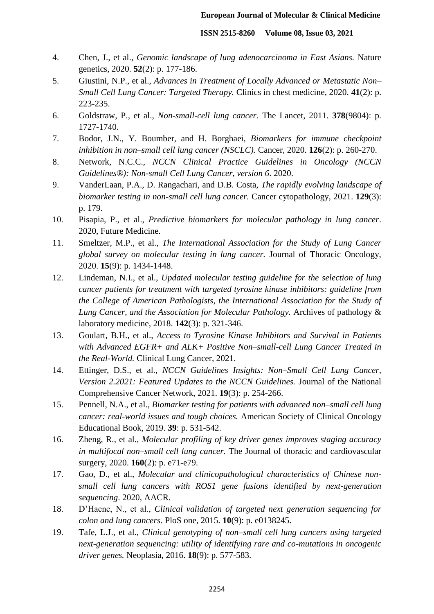- 4. Chen, J., et al., *Genomic landscape of lung adenocarcinoma in East Asians.* Nature genetics, 2020. **52**(2): p. 177-186.
- 5. Giustini, N.P., et al., *Advances in Treatment of Locally Advanced or Metastatic Non– Small Cell Lung Cancer: Targeted Therapy.* Clinics in chest medicine, 2020. **41**(2): p. 223-235.
- 6. Goldstraw, P., et al., *Non-small-cell lung cancer.* The Lancet, 2011. **378**(9804): p. 1727-1740.
- 7. Bodor, J.N., Y. Boumber, and H. Borghaei, *Biomarkers for immune checkpoint inhibition in non–small cell lung cancer (NSCLC).* Cancer, 2020. **126**(2): p. 260-270.
- 8. Network, N.C.C., *NCCN Clinical Practice Guidelines in Oncology (NCCN Guidelines®): Non-small Cell Lung Cancer, version 6*. 2020.
- 9. VanderLaan, P.A., D. Rangachari, and D.B. Costa, *The rapidly evolving landscape of biomarker testing in non-small cell lung cancer.* Cancer cytopathology, 2021. **129**(3): p. 179.
- 10. Pisapia, P., et al., *Predictive biomarkers for molecular pathology in lung cancer*. 2020, Future Medicine.
- 11. Smeltzer, M.P., et al., *The International Association for the Study of Lung Cancer global survey on molecular testing in lung cancer.* Journal of Thoracic Oncology, 2020. **15**(9): p. 1434-1448.
- 12. Lindeman, N.I., et al., *Updated molecular testing guideline for the selection of lung cancer patients for treatment with targeted tyrosine kinase inhibitors: guideline from the College of American Pathologists, the International Association for the Study of Lung Cancer, and the Association for Molecular Pathology.* Archives of pathology & laboratory medicine, 2018. **142**(3): p. 321-346.
- 13. Goulart, B.H., et al., *Access to Tyrosine Kinase Inhibitors and Survival in Patients with Advanced EGFR+ and ALK+ Positive Non–small-cell Lung Cancer Treated in the Real-World.* Clinical Lung Cancer, 2021.
- 14. Ettinger, D.S., et al., *NCCN Guidelines Insights: Non–Small Cell Lung Cancer, Version 2.2021: Featured Updates to the NCCN Guidelines.* Journal of the National Comprehensive Cancer Network, 2021. **19**(3): p. 254-266.
- 15. Pennell, N.A., et al., *Biomarker testing for patients with advanced non–small cell lung cancer: real-world issues and tough choices.* American Society of Clinical Oncology Educational Book, 2019. **39**: p. 531-542.
- 16. Zheng, R., et al., *Molecular profiling of key driver genes improves staging accuracy in multifocal non–small cell lung cancer.* The Journal of thoracic and cardiovascular surgery, 2020. **160**(2): p. e71-e79.
- 17. Gao, D., et al., *Molecular and clinicopathological characteristics of Chinese nonsmall cell lung cancers with ROS1 gene fusions identified by next-generation sequencing*. 2020, AACR.
- 18. D'Haene, N., et al., *Clinical validation of targeted next generation sequencing for colon and lung cancers.* PloS one, 2015. **10**(9): p. e0138245.
- 19. Tafe, L.J., et al., *Clinical genotyping of non–small cell lung cancers using targeted next-generation sequencing: utility of identifying rare and co-mutations in oncogenic driver genes.* Neoplasia, 2016. **18**(9): p. 577-583.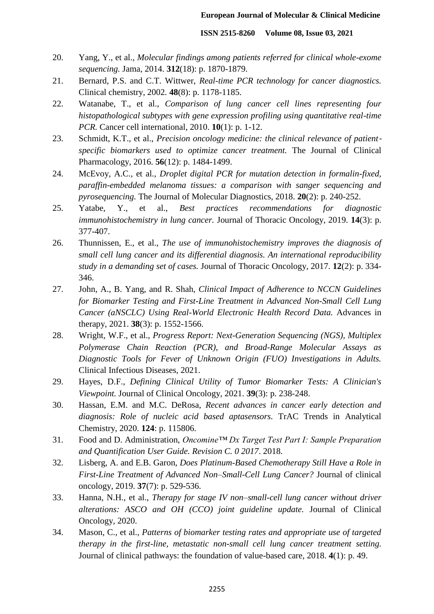- 20. Yang, Y., et al., *Molecular findings among patients referred for clinical whole-exome sequencing.* Jama, 2014. **312**(18): p. 1870-1879.
- 21. Bernard, P.S. and C.T. Wittwer, *Real-time PCR technology for cancer diagnostics.* Clinical chemistry, 2002. **48**(8): p. 1178-1185.
- 22. Watanabe, T., et al., *Comparison of lung cancer cell lines representing four histopathological subtypes with gene expression profiling using quantitative real-time PCR.* Cancer cell international, 2010. **10**(1): p. 1-12.
- 23. Schmidt, K.T., et al., *Precision oncology medicine: the clinical relevance of patient specific biomarkers used to optimize cancer treatment.* The Journal of Clinical Pharmacology, 2016. **56**(12): p. 1484-1499.
- 24. McEvoy, A.C., et al., *Droplet digital PCR for mutation detection in formalin-fixed, paraffin-embedded melanoma tissues: a comparison with sanger sequencing and pyrosequencing.* The Journal of Molecular Diagnostics, 2018. **20**(2): p. 240-252.
- 25. Yatabe, Y., et al., *Best practices recommendations for diagnostic immunohistochemistry in lung cancer.* Journal of Thoracic Oncology, 2019. **14**(3): p. 377-407.
- 26. Thunnissen, E., et al., *The use of immunohistochemistry improves the diagnosis of small cell lung cancer and its differential diagnosis. An international reproducibility study in a demanding set of cases.* Journal of Thoracic Oncology, 2017. **12**(2): p. 334- 346.
- 27. John, A., B. Yang, and R. Shah, *Clinical Impact of Adherence to NCCN Guidelines for Biomarker Testing and First-Line Treatment in Advanced Non-Small Cell Lung Cancer (aNSCLC) Using Real-World Electronic Health Record Data.* Advances in therapy, 2021. **38**(3): p. 1552-1566.
- 28. Wright, W.F., et al., *Progress Report: Next-Generation Sequencing (NGS), Multiplex Polymerase Chain Reaction (PCR), and Broad-Range Molecular Assays as Diagnostic Tools for Fever of Unknown Origin (FUO) Investigations in Adults.* Clinical Infectious Diseases, 2021.
- 29. Hayes, D.F., *Defining Clinical Utility of Tumor Biomarker Tests: A Clinician's Viewpoint.* Journal of Clinical Oncology, 2021. **39**(3): p. 238-248.
- 30. Hassan, E.M. and M.C. DeRosa, *Recent advances in cancer early detection and diagnosis: Role of nucleic acid based aptasensors.* TrAC Trends in Analytical Chemistry, 2020. **124**: p. 115806.
- 31. Food and D. Administration, *Oncomine™ Dx Target Test Part I: Sample Preparation and Quantification User Guide. Revision C. 0 2017*. 2018.
- 32. Lisberg, A. and E.B. Garon, *Does Platinum-Based Chemotherapy Still Have a Role in First-Line Treatment of Advanced Non–Small-Cell Lung Cancer?* Journal of clinical oncology, 2019. **37**(7): p. 529-536.
- 33. Hanna, N.H., et al., *Therapy for stage IV non–small-cell lung cancer without driver alterations: ASCO and OH (CCO) joint guideline update.* Journal of Clinical Oncology, 2020.
- 34. Mason, C., et al., *Patterns of biomarker testing rates and appropriate use of targeted therapy in the first-line, metastatic non-small cell lung cancer treatment setting.* Journal of clinical pathways: the foundation of value-based care, 2018. **4**(1): p. 49.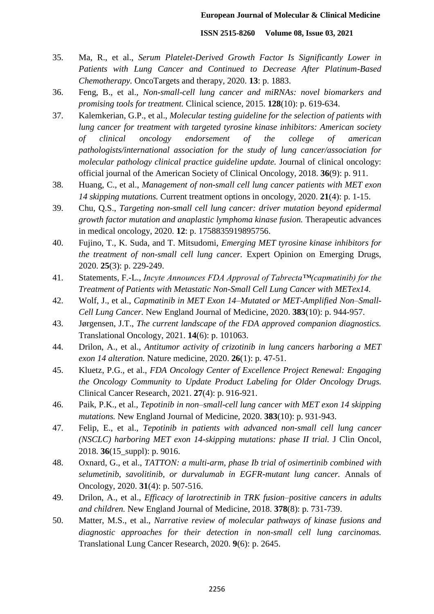- 35. Ma, R., et al., *Serum Platelet-Derived Growth Factor Is Significantly Lower in Patients with Lung Cancer and Continued to Decrease After Platinum-Based Chemotherapy.* OncoTargets and therapy, 2020. **13**: p. 1883.
- 36. Feng, B., et al., *Non-small-cell lung cancer and miRNAs: novel biomarkers and promising tools for treatment.* Clinical science, 2015. **128**(10): p. 619-634.
- 37. Kalemkerian, G.P., et al., *Molecular testing guideline for the selection of patients with lung cancer for treatment with targeted tyrosine kinase inhibitors: American society of clinical oncology endorsement of the college of american pathologists/international association for the study of lung cancer/association for molecular pathology clinical practice guideline update.* Journal of clinical oncology: official journal of the American Society of Clinical Oncology, 2018. **36**(9): p. 911.
- 38. Huang, C., et al., *Management of non-small cell lung cancer patients with MET exon 14 skipping mutations.* Current treatment options in oncology, 2020. **21**(4): p. 1-15.
- 39. Chu, Q.S., *Targeting non-small cell lung cancer: driver mutation beyond epidermal growth factor mutation and anaplastic lymphoma kinase fusion.* Therapeutic advances in medical oncology, 2020. **12**: p. 1758835919895756.
- 40. Fujino, T., K. Suda, and T. Mitsudomi, *Emerging MET tyrosine kinase inhibitors for the treatment of non-small cell lung cancer.* Expert Opinion on Emerging Drugs, 2020. **25**(3): p. 229-249.
- 41. Statements, F.-L., *Incyte Announces FDA Approval of Tabrecta™(capmatinib) for the Treatment of Patients with Metastatic Non-Small Cell Lung Cancer with METex14.*
- 42. Wolf, J., et al., *Capmatinib in MET Exon 14–Mutated or MET-Amplified Non–Small-Cell Lung Cancer.* New England Journal of Medicine, 2020. **383**(10): p. 944-957.
- 43. Jørgensen, J.T., *The current landscape of the FDA approved companion diagnostics.* Translational Oncology, 2021. **14**(6): p. 101063.
- 44. Drilon, A., et al., *Antitumor activity of crizotinib in lung cancers harboring a MET exon 14 alteration.* Nature medicine, 2020. **26**(1): p. 47-51.
- 45. Kluetz, P.G., et al., *FDA Oncology Center of Excellence Project Renewal: Engaging the Oncology Community to Update Product Labeling for Older Oncology Drugs.* Clinical Cancer Research, 2021. **27**(4): p. 916-921.
- 46. Paik, P.K., et al., *Tepotinib in non–small-cell lung cancer with MET exon 14 skipping mutations.* New England Journal of Medicine, 2020. **383**(10): p. 931-943.
- 47. Felip, E., et al., *Tepotinib in patients with advanced non-small cell lung cancer (NSCLC) harboring MET exon 14-skipping mutations: phase II trial.* J Clin Oncol, 2018. **36**(15\_suppl): p. 9016.
- 48. Oxnard, G., et al., *TATTON: a multi-arm, phase Ib trial of osimertinib combined with selumetinib, savolitinib, or durvalumab in EGFR-mutant lung cancer.* Annals of Oncology, 2020. **31**(4): p. 507-516.
- 49. Drilon, A., et al., *Efficacy of larotrectinib in TRK fusion–positive cancers in adults and children.* New England Journal of Medicine, 2018. **378**(8): p. 731-739.
- 50. Matter, M.S., et al., *Narrative review of molecular pathways of kinase fusions and diagnostic approaches for their detection in non-small cell lung carcinomas.* Translational Lung Cancer Research, 2020. **9**(6): p. 2645.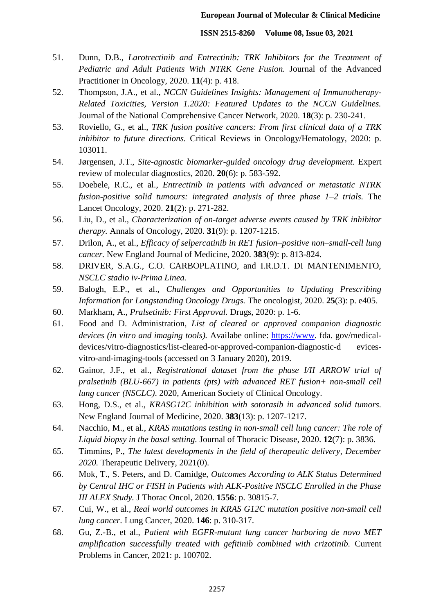- 51. Dunn, D.B., *Larotrectinib and Entrectinib: TRK Inhibitors for the Treatment of Pediatric and Adult Patients With NTRK Gene Fusion.* Journal of the Advanced Practitioner in Oncology, 2020. **11**(4): p. 418.
- 52. Thompson, J.A., et al., *NCCN Guidelines Insights: Management of Immunotherapy-Related Toxicities, Version 1.2020: Featured Updates to the NCCN Guidelines.* Journal of the National Comprehensive Cancer Network, 2020. **18**(3): p. 230-241.
- 53. Roviello, G., et al., *TRK fusion positive cancers: From first clinical data of a TRK inhibitor to future directions.* Critical Reviews in Oncology/Hematology, 2020: p. 103011.
- 54. Jørgensen, J.T., *Site-agnostic biomarker-guided oncology drug development.* Expert review of molecular diagnostics, 2020. **20**(6): p. 583-592.
- 55. Doebele, R.C., et al., *Entrectinib in patients with advanced or metastatic NTRK fusion-positive solid tumours: integrated analysis of three phase 1–2 trials.* The Lancet Oncology, 2020. **21**(2): p. 271-282.
- 56. Liu, D., et al., *Characterization of on-target adverse events caused by TRK inhibitor therapy.* Annals of Oncology, 2020. **31**(9): p. 1207-1215.
- 57. Drilon, A., et al., *Efficacy of selpercatinib in RET fusion–positive non–small-cell lung cancer.* New England Journal of Medicine, 2020. **383**(9): p. 813-824.
- 58. DRIVER, S.A.G., C.O. CARBOPLATINO, and I.R.D.T. DI MANTENIMENTO, *NSCLC stadio iv-Prima Linea.*
- 59. Balogh, E.P., et al., *Challenges and Opportunities to Updating Prescribing Information for Longstanding Oncology Drugs.* The oncologist, 2020. **25**(3): p. e405.
- 60. Markham, A., *Pralsetinib: First Approval.* Drugs, 2020: p. 1-6.
- 61. Food and D. Administration, *List of cleared or approved companion diagnostic devices (in vitro and imaging tools).* Availabe online: [https://www.](https://www/) fda. gov/medicaldevices/vitro-diagnostics/list-cleared-or-approved-companion-diagnostic-d evicesvitro-and-imaging-tools (accessed on 3 January 2020), 2019.
- 62. Gainor, J.F., et al., *Registrational dataset from the phase I/II ARROW trial of pralsetinib (BLU-667) in patients (pts) with advanced RET fusion+ non-small cell lung cancer (NSCLC)*. 2020, American Society of Clinical Oncology.
- 63. Hong, D.S., et al., *KRASG12C inhibition with sotorasib in advanced solid tumors.* New England Journal of Medicine, 2020. **383**(13): p. 1207-1217.
- 64. Nacchio, M., et al., *KRAS mutations testing in non-small cell lung cancer: The role of Liquid biopsy in the basal setting.* Journal of Thoracic Disease, 2020. **12**(7): p. 3836.
- 65. Timmins, P., *The latest developments in the field of therapeutic delivery, December 2020.* Therapeutic Delivery, 2021(0).
- 66. Mok, T., S. Peters, and D. Camidge, *Outcomes According to ALK Status Determined by Central IHC or FISH in Patients with ALK-Positive NSCLC Enrolled in the Phase III ALEX Study.* J Thorac Oncol, 2020. **1556**: p. 30815-7.
- 67. Cui, W., et al., *Real world outcomes in KRAS G12C mutation positive non-small cell lung cancer.* Lung Cancer, 2020. **146**: p. 310-317.
- 68. Gu, Z.-B., et al., *Patient with EGFR-mutant lung cancer harboring de novo MET amplification successfully treated with gefitinib combined with crizotinib.* Current Problems in Cancer, 2021: p. 100702.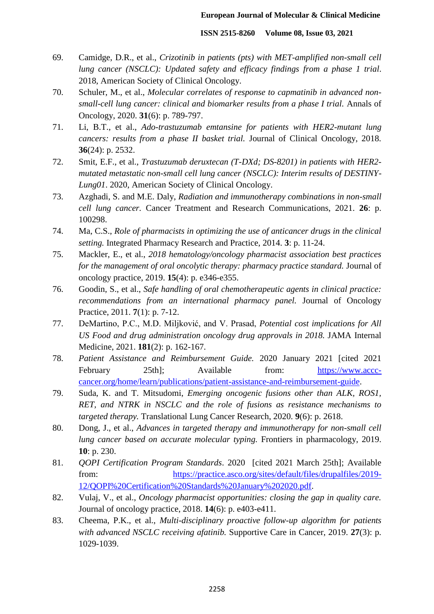- 69. Camidge, D.R., et al., *Crizotinib in patients (pts) with MET-amplified non-small cell lung cancer (NSCLC): Updated safety and efficacy findings from a phase 1 trial*. 2018, American Society of Clinical Oncology.
- 70. Schuler, M., et al., *Molecular correlates of response to capmatinib in advanced nonsmall-cell lung cancer: clinical and biomarker results from a phase I trial.* Annals of Oncology, 2020. **31**(6): p. 789-797.
- 71. Li, B.T., et al., *Ado-trastuzumab emtansine for patients with HER2-mutant lung cancers: results from a phase II basket trial.* Journal of Clinical Oncology, 2018. **36**(24): p. 2532.
- 72. Smit, E.F., et al., *Trastuzumab deruxtecan (T-DXd; DS-8201) in patients with HER2 mutated metastatic non-small cell lung cancer (NSCLC): Interim results of DESTINY-Lung01*. 2020, American Society of Clinical Oncology.
- 73. Azghadi, S. and M.E. Daly, *Radiation and immunotherapy combinations in non-small cell lung cancer.* Cancer Treatment and Research Communications, 2021. **26**: p. 100298.
- 74. Ma, C.S., *Role of pharmacists in optimizing the use of anticancer drugs in the clinical setting.* Integrated Pharmacy Research and Practice, 2014. **3**: p. 11-24.
- 75. Mackler, E., et al., *2018 hematology/oncology pharmacist association best practices for the management of oral oncolytic therapy: pharmacy practice standard.* Journal of oncology practice, 2019. **15**(4): p. e346-e355.
- 76. Goodin, S., et al., *Safe handling of oral chemotherapeutic agents in clinical practice: recommendations from an international pharmacy panel.* Journal of Oncology Practice, 2011. **7**(1): p. 7-12.
- 77. DeMartino, P.C., M.D. Miljković, and V. Prasad, *Potential cost implications for All US Food and drug administration oncology drug approvals in 2018.* JAMA Internal Medicine, 2021. **181**(2): p. 162-167.
- 78. *Patient Assistance and Reimbursement Guide.* 2020 January 2021 [cited 2021 February 25th]; Available from: [https://www.accc](https://www.accc-cancer.org/home/learn/publications/patient-assistance-and-reimbursement-guide)[cancer.org/home/learn/publications/patient-assistance-and-reimbursement-guide.](https://www.accc-cancer.org/home/learn/publications/patient-assistance-and-reimbursement-guide)
- 79. Suda, K. and T. Mitsudomi, *Emerging oncogenic fusions other than ALK, ROS1, RET, and NTRK in NSCLC and the role of fusions as resistance mechanisms to targeted therapy.* Translational Lung Cancer Research, 2020. **9**(6): p. 2618.
- 80. Dong, J., et al., *Advances in targeted therapy and immunotherapy for non-small cell lung cancer based on accurate molecular typing.* Frontiers in pharmacology, 2019. **10**: p. 230.
- 81. *QOPI Certification Program Standards*. 2020 [cited 2021 March 25th]; Available from: [https://practice.asco.org/sites/default/files/drupalfiles/2019-](https://practice.asco.org/sites/default/files/drupalfiles/2019-12/QOPI%20Certification%20Standards%20January%202020.pdf) [12/QOPI%20Certification%20Standards%20January%202020.pdf.](https://practice.asco.org/sites/default/files/drupalfiles/2019-12/QOPI%20Certification%20Standards%20January%202020.pdf)
- 82. Vulaj, V., et al., *Oncology pharmacist opportunities: closing the gap in quality care.* Journal of oncology practice, 2018. **14**(6): p. e403-e411.
- 83. Cheema, P.K., et al., *Multi-disciplinary proactive follow-up algorithm for patients with advanced NSCLC receiving afatinib.* Supportive Care in Cancer, 2019. **27**(3): p. 1029-1039.